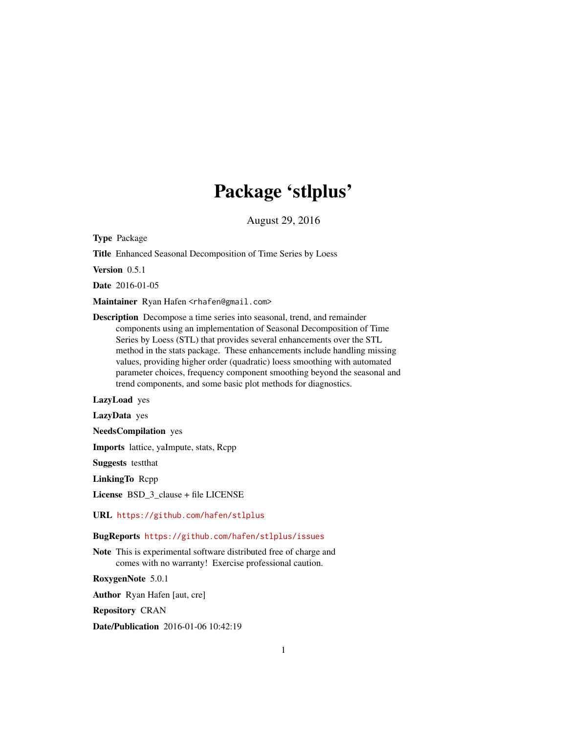## Package 'stlplus'

August 29, 2016

Type Package

Title Enhanced Seasonal Decomposition of Time Series by Loess

Version 0.5.1

Date 2016-01-05

Maintainer Ryan Hafen <rhafen@gmail.com>

Description Decompose a time series into seasonal, trend, and remainder components using an implementation of Seasonal Decomposition of Time Series by Loess (STL) that provides several enhancements over the STL method in the stats package. These enhancements include handling missing values, providing higher order (quadratic) loess smoothing with automated parameter choices, frequency component smoothing beyond the seasonal and trend components, and some basic plot methods for diagnostics.

LazyLoad yes

LazyData yes

NeedsCompilation yes

Imports lattice, yaImpute, stats, Rcpp

Suggests testthat

LinkingTo Rcpp

License BSD\_3\_clause + file LICENSE

URL <https://github.com/hafen/stlplus>

BugReports <https://github.com/hafen/stlplus/issues>

Note This is experimental software distributed free of charge and comes with no warranty! Exercise professional caution.

RoxygenNote 5.0.1

Author Ryan Hafen [aut, cre]

Repository CRAN

Date/Publication 2016-01-06 10:42:19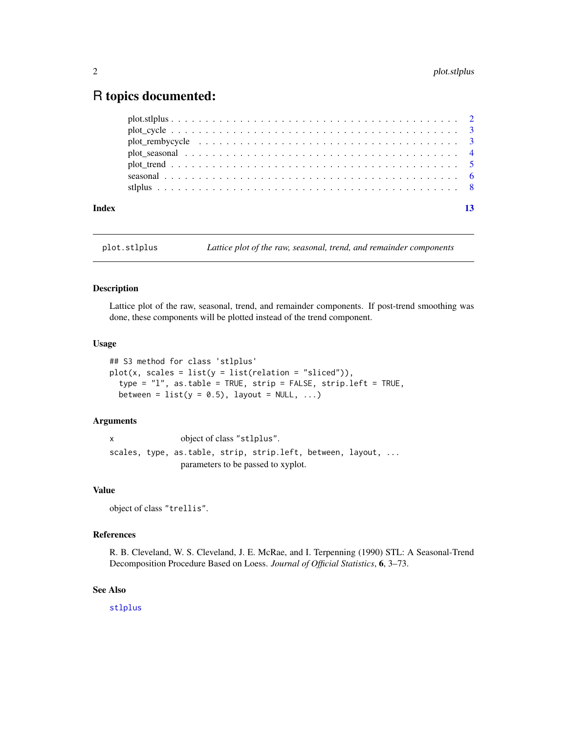### <span id="page-1-0"></span>R topics documented:

| Index | 13 |
|-------|----|
|       |    |
|       |    |
|       |    |
|       |    |
|       |    |
|       |    |
|       |    |

<span id="page-1-1"></span>plot.stlplus *Lattice plot of the raw, seasonal, trend, and remainder components*

#### Description

Lattice plot of the raw, seasonal, trend, and remainder components. If post-trend smoothing was done, these components will be plotted instead of the trend component.

#### Usage

```
## S3 method for class 'stlplus'
plot(x, scales = list(y = list(relation = "sliced"))),
  type = "l", as.table = TRUE, strip = FALSE, strip.left = TRUE,
 between = list(y = 0.5), layout = NULL, ...)
```
#### Arguments

x object of class "stlplus". scales, type, as.table, strip, strip.left, between, layout, ... parameters to be passed to xyplot.

#### Value

object of class "trellis".

#### References

R. B. Cleveland, W. S. Cleveland, J. E. McRae, and I. Terpenning (1990) STL: A Seasonal-Trend Decomposition Procedure Based on Loess. *Journal of Official Statistics*, 6, 3–73.

#### See Also

[stlplus](#page-7-1)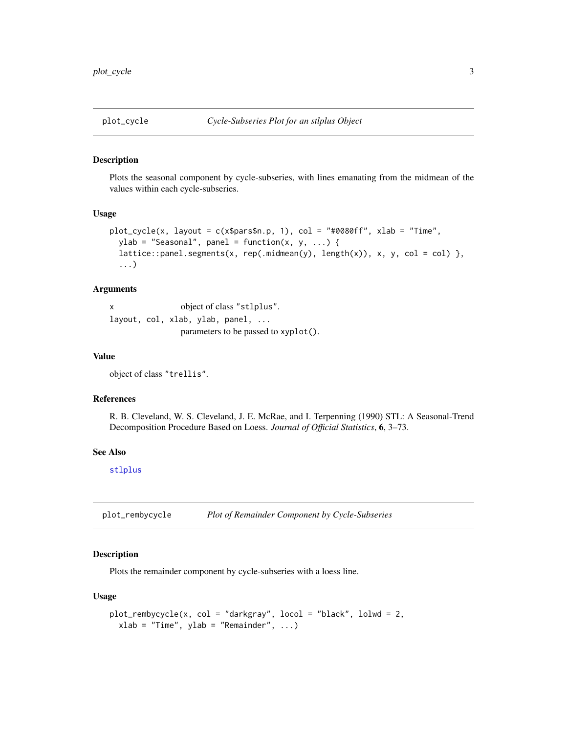#### <span id="page-2-0"></span>Description

Plots the seasonal component by cycle-subseries, with lines emanating from the midmean of the values within each cycle-subseries.

#### Usage

```
plot\_cycle(x, layout = c(x$parse, 1), col = "#0080ff", xlab = "Time",ylab = "Seasonal", panel = function(x, y, ...) {
 lattice::panel.segments(x, rep(.midmean(y), length(x)), x, y, col = col) },
  ...)
```
#### Arguments

x object of class "stlplus". layout, col, xlab, ylab, panel, ... parameters to be passed to xyplot().

#### Value

object of class "trellis".

#### References

R. B. Cleveland, W. S. Cleveland, J. E. McRae, and I. Terpenning (1990) STL: A Seasonal-Trend Decomposition Procedure Based on Loess. *Journal of Official Statistics*, 6, 3–73.

#### See Also

[stlplus](#page-7-1)

plot\_rembycycle *Plot of Remainder Component by Cycle-Subseries*

#### Description

Plots the remainder component by cycle-subseries with a loess line.

#### Usage

```
plot_rembycycle(x, col = "darkgray", locol = "black", lolwd = 2,
  xlab = "Time", ylab = "Remainder", ...)
```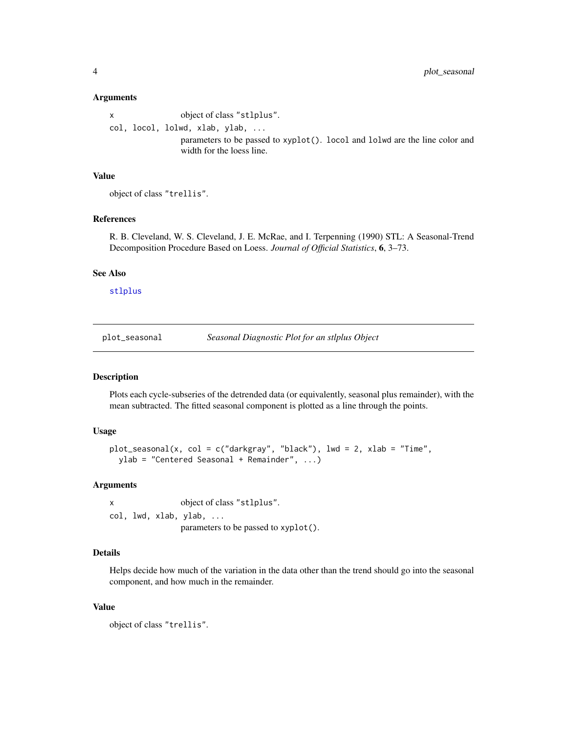#### <span id="page-3-0"></span>Arguments

x object of class "stlplus". col, locol, lolwd, xlab, ylab, ... parameters to be passed to xyplot(). locol and lolwd are the line color and width for the loess line.

#### Value

```
object of class "trellis".
```
#### References

R. B. Cleveland, W. S. Cleveland, J. E. McRae, and I. Terpenning (1990) STL: A Seasonal-Trend Decomposition Procedure Based on Loess. *Journal of Official Statistics*, 6, 3–73.

#### See Also

[stlplus](#page-7-1)

plot\_seasonal *Seasonal Diagnostic Plot for an stlplus Object*

#### Description

Plots each cycle-subseries of the detrended data (or equivalently, seasonal plus remainder), with the mean subtracted. The fitted seasonal component is plotted as a line through the points.

#### Usage

```
plot\_seasonal(x, col = c("darkgray", "black"), lwd = 2, xlab = "Time",ylab = "Centered Seasonal + Remainder", ...)
```
#### Arguments

x object of class "stlplus". col, lwd, xlab, ylab, ... parameters to be passed to xyplot().

#### Details

Helps decide how much of the variation in the data other than the trend should go into the seasonal component, and how much in the remainder.

#### Value

object of class "trellis".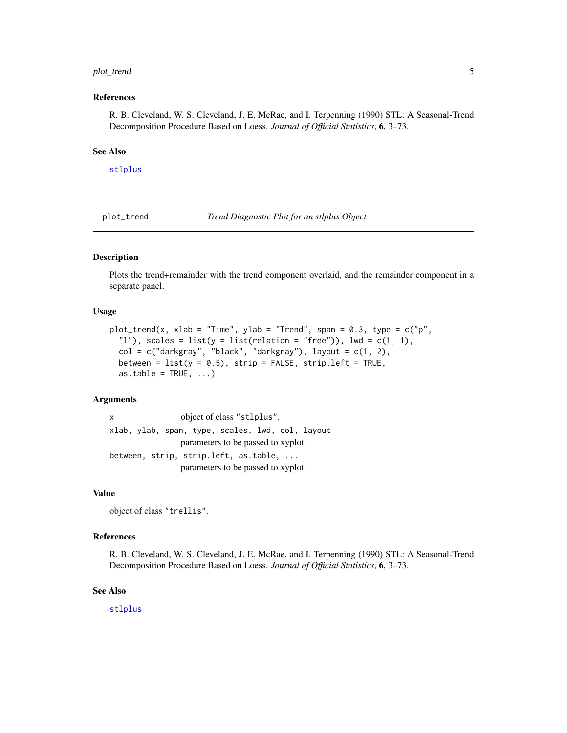#### <span id="page-4-0"></span>plot\_trend 5

#### References

R. B. Cleveland, W. S. Cleveland, J. E. McRae, and I. Terpenning (1990) STL: A Seasonal-Trend Decomposition Procedure Based on Loess. *Journal of Official Statistics*, 6, 3–73.

#### See Also

[stlplus](#page-7-1)

plot\_trend *Trend Diagnostic Plot for an stlplus Object*

#### Description

Plots the trend+remainder with the trend component overlaid, and the remainder component in a separate panel.

#### Usage

```
plot_trend(x, xlab = "Time", ylab = "Trend", span = 0.3, type = c("p","l"), scales = list(y = list(relation = "free")), lwd = c(1, 1),
  col = c("darkgray", "black", "darkgray"), layout = c(1, 2),between = list(y = 0.5), strip = FALSE, strip.left = TRUE,
 as.table = TRUE, ...)
```
#### Arguments

x object of class "stlplus". xlab, ylab, span, type, scales, lwd, col, layout parameters to be passed to xyplot. between, strip, strip.left, as.table, ... parameters to be passed to xyplot.

#### Value

object of class "trellis".

#### References

R. B. Cleveland, W. S. Cleveland, J. E. McRae, and I. Terpenning (1990) STL: A Seasonal-Trend Decomposition Procedure Based on Loess. *Journal of Official Statistics*, 6, 3–73.

#### See Also

[stlplus](#page-7-1)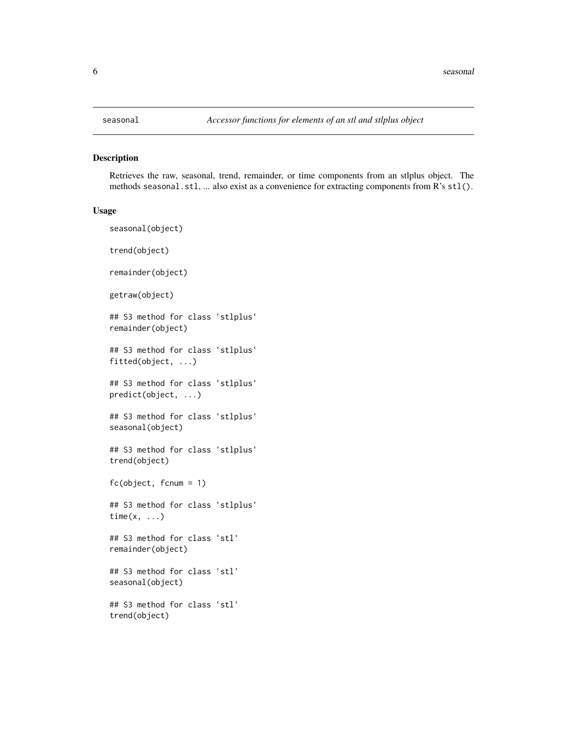#### <span id="page-5-1"></span>Description

Retrieves the raw, seasonal, trend, remainder, or time components from an stlplus object. The methods seasonal.stl, ... also exist as a convenience for extracting components from R's stl().

#### Usage

```
seasonal(object)
trend(object)
remainder(object)
getraw(object)
## S3 method for class 'stlplus'
remainder(object)
## S3 method for class 'stlplus'
fitted(object, ...)
## S3 method for class 'stlplus'
predict(object, ...)
## S3 method for class 'stlplus'
seasonal(object)
## S3 method for class 'stlplus'
trend(object)
fc(object, fcnum = 1)
## S3 method for class 'stlplus'
time(x, \ldots)## S3 method for class 'stl'
remainder(object)
## S3 method for class 'stl'
seasonal(object)
## S3 method for class 'stl'
trend(object)
```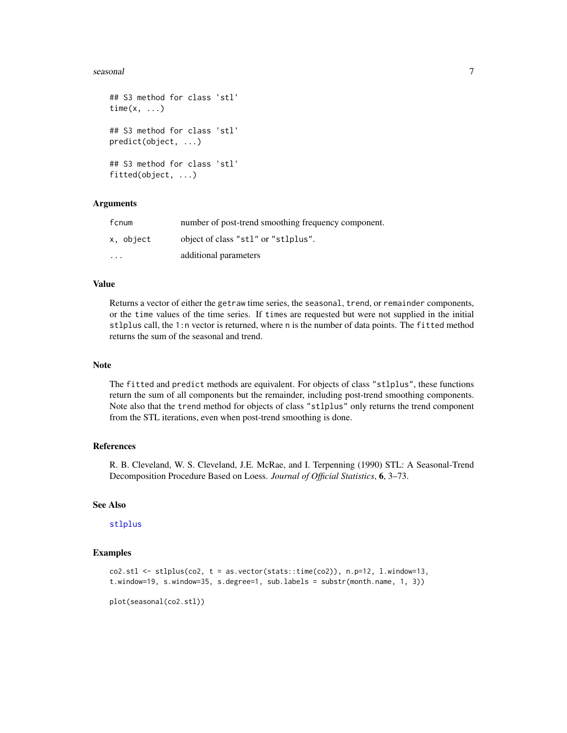#### <span id="page-6-0"></span>seasonal 7

```
## S3 method for class 'stl'
time(x, \ldots)## S3 method for class 'stl'
predict(object, ...)
## S3 method for class 'stl'
fitted(object, ...)
```
#### Arguments

| fcnum                   | number of post-trend smoothing frequency component. |
|-------------------------|-----------------------------------------------------|
| x, object               | object of class "stl" or "stlplus".                 |
| $\cdot$ $\cdot$ $\cdot$ | additional parameters                               |

#### Value

Returns a vector of either the getraw time series, the seasonal, trend, or remainder components, or the time values of the time series. If times are requested but were not supplied in the initial stlplus call, the 1:n vector is returned, where n is the number of data points. The fitted method returns the sum of the seasonal and trend.

#### Note

The fitted and predict methods are equivalent. For objects of class "stlplus", these functions return the sum of all components but the remainder, including post-trend smoothing components. Note also that the trend method for objects of class "stlplus" only returns the trend component from the STL iterations, even when post-trend smoothing is done.

#### References

R. B. Cleveland, W. S. Cleveland, J.E. McRae, and I. Terpenning (1990) STL: A Seasonal-Trend Decomposition Procedure Based on Loess. *Journal of Official Statistics*, 6, 3–73.

#### See Also

#### [stlplus](#page-7-1)

#### Examples

```
\text{co2.st1} \leq \text{st1} stiplus(\text{co2}, \text{t} = \text{as}.\text{vector}(\text{stats}: \text{time}(\text{co2})), \text{ n.p=12, l.window=13},t.window=19, s.window=35, s.degree=1, sub.labels = substr(month.name, 1, 3))
```
plot(seasonal(co2.stl))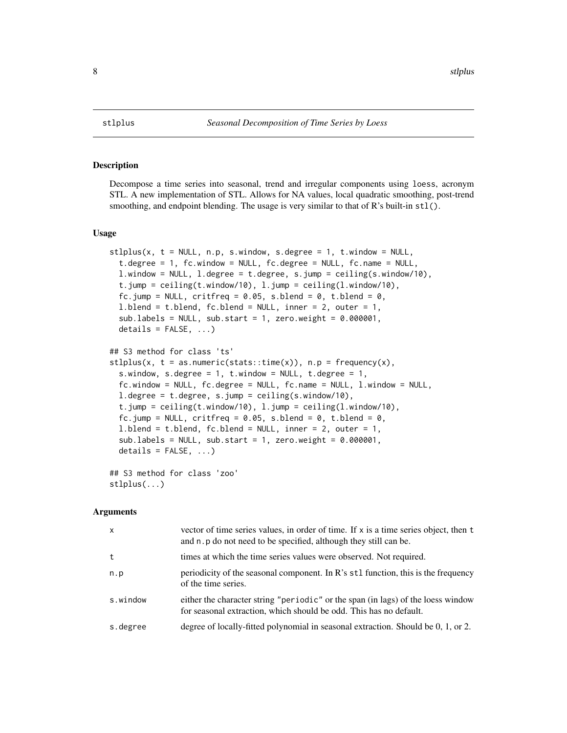#### Description

Decompose a time series into seasonal, trend and irregular components using loess, acronym STL. A new implementation of STL. Allows for NA values, local quadratic smoothing, post-trend smoothing, and endpoint blending. The usage is very similar to that of  $\mathbb{R}$ 's built-in  $\text{st}(.)$ .

#### Usage

```
stlplus(x, t = NULL, n.p, s.window, s. degree = 1, t. window = NULL,t.degree = 1, fc.window = NULL, fc.degree = NULL, fc.name = NULL,
  l.window = NULL, l.degree = t.degree, s.jump = ceiling(s.window/10),
  t.jump = ceiling(t.window/10), l.jump = ceiling(l.window/10),
  fc.jump = NULL, critfreq = 0.05, s.blend = 0, t.blend = 0,
 l.blend = t.blend, fc.blend = NULL, inner = 2, outer = 1,
  sub.labels = NULL, sub.start = 1, zero.weight = 0.000001,
  details = FALSE, ...)## S3 method for class 'ts'
stlplus(x, t = as.numeric(stat::time(x)), n.p = frequency(x),s.window, s.degree = 1, t.window = NULL, t.degree = 1,
  fc.window = NULL, fc.degree = NULL, fc.name = NULL, l.window = NULL,
  l.degree = t.degree, s.jump = ceiling(s.window/10),
  t.jump = ceiling(t.window/10), l.jump = ceiling(l.window/10),
  fc.jump = NULL, critfreq = 0.05, s.blend = 0, t.blend = 0,
  1.blend = t.blend, fc.blend = NULL, inner = 2, outer = 1,
  sub.labels = NULL, sub.start = 1, zero.weight = 0.000001,
 details = FALSE, ...)
```
## S3 method for class 'zoo' stlplus(...)

#### Arguments

| $\mathsf{x}$ | vector of time series values, in order of time. If x is a time series object, then t<br>and n. p do not need to be specified, although they still can be. |
|--------------|-----------------------------------------------------------------------------------------------------------------------------------------------------------|
| t            | times at which the time series values were observed. Not required.                                                                                        |
| n.p          | periodicity of the seasonal component. In $\mathbb{R}^3$ st1 function, this is the frequency<br>of the time series.                                       |
| s.window     | either the character string "periodic" or the span (in lags) of the loess window<br>for seasonal extraction, which should be odd. This has no default.    |
| s.degree     | degree of locally-fitted polynomial in seasonal extraction. Should be 0, 1, or 2.                                                                         |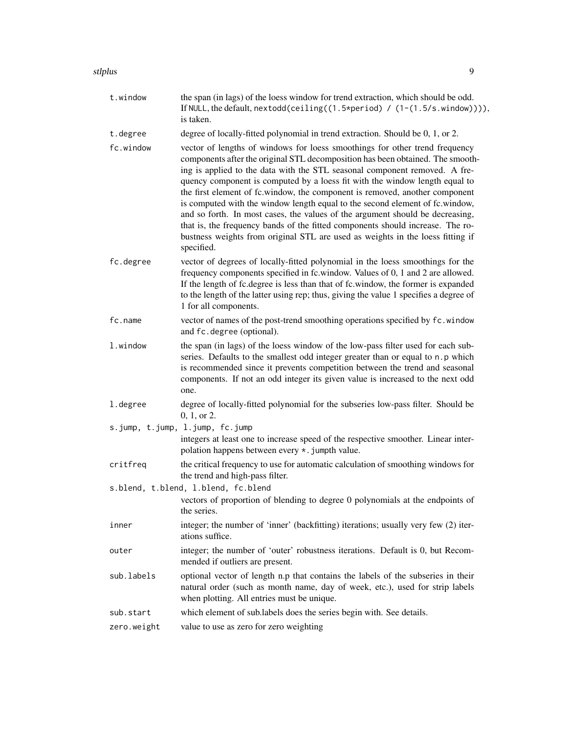#### stlplus the contract of the contract of the contract of the contract of the contract of the contract of the contract of the contract of the contract of the contract of the contract of the contract of the contract of the co

| t.window    | the span (in lags) of the loess window for trend extraction, which should be odd.<br>If NULL, the default, nextodd(ceiling((1.5*period) / (1-(1.5/s.window)))),<br>is taken.                                                                                                                                                                                                                                                                                                                                                                                                                                                                                                                                                                                 |
|-------------|--------------------------------------------------------------------------------------------------------------------------------------------------------------------------------------------------------------------------------------------------------------------------------------------------------------------------------------------------------------------------------------------------------------------------------------------------------------------------------------------------------------------------------------------------------------------------------------------------------------------------------------------------------------------------------------------------------------------------------------------------------------|
| t.degree    | degree of locally-fitted polynomial in trend extraction. Should be 0, 1, or 2.                                                                                                                                                                                                                                                                                                                                                                                                                                                                                                                                                                                                                                                                               |
| fc.window   | vector of lengths of windows for loess smoothings for other trend frequency<br>components after the original STL decomposition has been obtained. The smooth-<br>ing is applied to the data with the STL seasonal component removed. A fre-<br>quency component is computed by a loess fit with the window length equal to<br>the first element of fc.window, the component is removed, another component<br>is computed with the window length equal to the second element of fc.window,<br>and so forth. In most cases, the values of the argument should be decreasing,<br>that is, the frequency bands of the fitted components should increase. The ro-<br>bustness weights from original STL are used as weights in the loess fitting if<br>specified. |
| fc.degree   | vector of degrees of locally-fitted polynomial in the loess smoothings for the<br>frequency components specified in fc.window. Values of 0, 1 and 2 are allowed.<br>If the length of fc.degree is less than that of fc.window, the former is expanded<br>to the length of the latter using rep; thus, giving the value 1 specifies a degree of<br>1 for all components.                                                                                                                                                                                                                                                                                                                                                                                      |
| fc.name     | vector of names of the post-trend smoothing operations specified by fc. window<br>and fc.degree (optional).                                                                                                                                                                                                                                                                                                                                                                                                                                                                                                                                                                                                                                                  |
| 1.window    | the span (in lags) of the loess window of the low-pass filter used for each sub-<br>series. Defaults to the smallest odd integer greater than or equal to n.p which<br>is recommended since it prevents competition between the trend and seasonal<br>components. If not an odd integer its given value is increased to the next odd<br>one.                                                                                                                                                                                                                                                                                                                                                                                                                 |
| 1.degree    | degree of locally-fitted polynomial for the subseries low-pass filter. Should be<br>0, 1, or 2.                                                                                                                                                                                                                                                                                                                                                                                                                                                                                                                                                                                                                                                              |
|             | s.jump, t.jump, l.jump, fc.jump                                                                                                                                                                                                                                                                                                                                                                                                                                                                                                                                                                                                                                                                                                                              |
|             | integers at least one to increase speed of the respective smoother. Linear inter-<br>polation happens between every *. jumpth value.                                                                                                                                                                                                                                                                                                                                                                                                                                                                                                                                                                                                                         |
| critfreq    | the critical frequency to use for automatic calculation of smoothing windows for<br>the trend and high-pass filter.                                                                                                                                                                                                                                                                                                                                                                                                                                                                                                                                                                                                                                          |
|             | s.blend, t.blend, l.blend, fc.blend                                                                                                                                                                                                                                                                                                                                                                                                                                                                                                                                                                                                                                                                                                                          |
|             | vectors of proportion of blending to degree 0 polynomials at the endpoints of<br>the series.                                                                                                                                                                                                                                                                                                                                                                                                                                                                                                                                                                                                                                                                 |
| inner       | integer; the number of 'inner' (backfitting) iterations; usually very few (2) iter-<br>ations suffice.                                                                                                                                                                                                                                                                                                                                                                                                                                                                                                                                                                                                                                                       |
| outer       | integer; the number of 'outer' robustness iterations. Default is 0, but Recom-<br>mended if outliers are present.                                                                                                                                                                                                                                                                                                                                                                                                                                                                                                                                                                                                                                            |
| sub.labels  | optional vector of length n.p that contains the labels of the subseries in their<br>natural order (such as month name, day of week, etc.), used for strip labels<br>when plotting. All entries must be unique.                                                                                                                                                                                                                                                                                                                                                                                                                                                                                                                                               |
| sub.start   | which element of sub.labels does the series begin with. See details.                                                                                                                                                                                                                                                                                                                                                                                                                                                                                                                                                                                                                                                                                         |
| zero.weight | value to use as zero for zero weighting                                                                                                                                                                                                                                                                                                                                                                                                                                                                                                                                                                                                                                                                                                                      |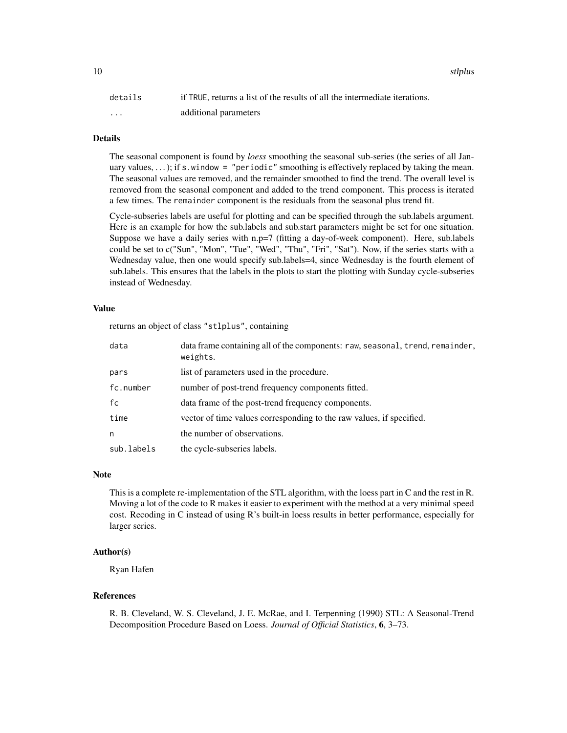details if TRUE, returns a list of the results of all the intermediate iterations. ... additional parameters

#### Details

The seasonal component is found by *loess* smoothing the seasonal sub-series (the series of all January values,  $\ldots$ ; if s.window = "periodic" smoothing is effectively replaced by taking the mean. The seasonal values are removed, and the remainder smoothed to find the trend. The overall level is removed from the seasonal component and added to the trend component. This process is iterated a few times. The remainder component is the residuals from the seasonal plus trend fit.

Cycle-subseries labels are useful for plotting and can be specified through the sub.labels argument. Here is an example for how the sub.labels and sub.start parameters might be set for one situation. Suppose we have a daily series with n.p=7 (fitting a day-of-week component). Here, sub.labels could be set to c("Sun", "Mon", "Tue", "Wed", "Thu", "Fri", "Sat"). Now, if the series starts with a Wednesday value, then one would specify sub.labels=4, since Wednesday is the fourth element of sub.labels. This ensures that the labels in the plots to start the plotting with Sunday cycle-subseries instead of Wednesday.

#### Value

returns an object of class "stlplus", containing

| data       | data frame containing all of the components: raw, seasonal, trend, remainder,<br>weights. |
|------------|-------------------------------------------------------------------------------------------|
| pars       | list of parameters used in the procedure.                                                 |
| fc.number  | number of post-trend frequency components fitted.                                         |
| fc         | data frame of the post-trend frequency components.                                        |
| time       | vector of time values corresponding to the raw values, if specified.                      |
| n          | the number of observations.                                                               |
| sub.labels | the cycle-subseries labels.                                                               |

#### Note

This is a complete re-implementation of the STL algorithm, with the loess part in C and the rest in R. Moving a lot of the code to R makes it easier to experiment with the method at a very minimal speed cost. Recoding in C instead of using R's built-in loess results in better performance, especially for larger series.

#### Author(s)

Ryan Hafen

#### References

R. B. Cleveland, W. S. Cleveland, J. E. McRae, and I. Terpenning (1990) STL: A Seasonal-Trend Decomposition Procedure Based on Loess. *Journal of Official Statistics*, 6, 3–73.

10 stlplus strategies and the strategies of the strategies of the strategies of the strategies of the strategies of the strategies of the strategies of the strategies of the strategies of the strategies of the strategies o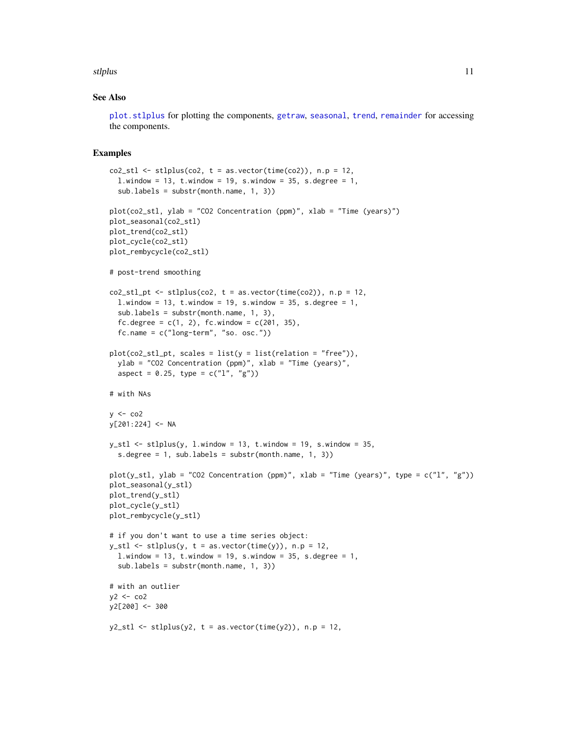#### <span id="page-10-0"></span>stlplus that the contract of the contract of the contract of the contract of the contract of the contract of the contract of the contract of the contract of the contract of the contract of the contract of the contract of t

#### See Also

[plot.stlplus](#page-1-1) for plotting the components, [getraw](#page-5-1), [seasonal](#page-5-2), [trend](#page-5-1), [remainder](#page-5-1) for accessing the components.

#### Examples

```
co2_st1 \leftarrow st1plus(co2, t = as.vector(time(co2)), n.p = 12,l.window = 13, t.window = 19, s.window = 35, s.degree = 1,
  sub.labels = substr(month.name, 1, 3))
plot(co2_stl, ylab = "CO2 Concentration (ppm)", xlab = "Time (years)")
plot_seasonal(co2_stl)
plot_trend(co2_stl)
plot_cycle(co2_stl)
plot_rembycycle(co2_stl)
# post-trend smoothing
co2_stl_pt < -stlplus(co2, t = as.vector(time(co2)), n.p = 12,l.window = 13, t.window = 19, s.window = 35, s.degree = 1,
  sub.labels = substr(month.name, 1, 3),
  fc.degree = c(1, 2), fc.window = c(201, 35),
  fc.name = c("long-term", "so. osc."))
plot(co2_stl_pt, scales = list(y = list(relation = "free")),ylab = "CO2 Concentration (ppm)", xlab = "Time (years)",
  aspect = 0.25, type = c("1", "g")# with NAs
y \le -\cos 2y[201:224] <- NA
y_stl \leq stlplus(y, l.window = 13, t.window = 19, s.window = 35,s.degree = 1, sub.labels = substr(month.name, 1, 3))
plot(y_stl, ylab = "CO2 Concentration (ppm)", xlab = "Time (years)", type = c("l", "g"))
plot_seasonal(y_stl)
plot_trend(y_stl)
plot_cycle(y_stl)
plot_rembycycle(y_stl)
# if you don't want to use a time series object:
y_stl \leq stlplus(y, t = as-vector(time(y)), n.p = 12,l.window = 13, t.window = 19, s.window = 35, s.degree = 1,
  sub.labels = substr(month.name, 1, 3))
# with an outlier
y2 < - \cos 2y2[200] <- 300
y2_stl \leftarrow stlplus(y2, t = asvector(time(y2)), n.p = 12,
```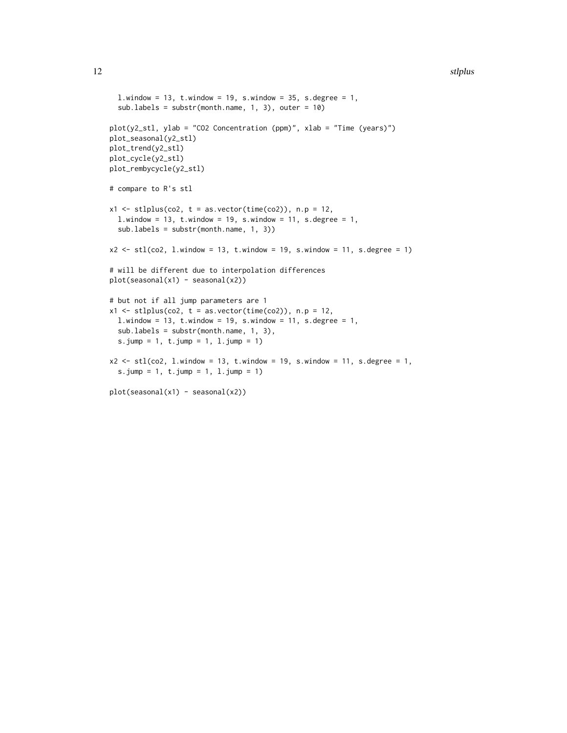```
l.window = 13, t.window = 19, s.window = 35, s.degree = 1,
  sub.labels = substr(month.name, 1, 3), outer = 10)
plot(y2_stl, ylab = "CO2 Concentration (ppm)", xlab = "Time (years)")
plot_seasonal(y2_stl)
plot_trend(y2_stl)
plot_cycle(y2_stl)
plot_rembycycle(y2_stl)
# compare to R's stl
x1 \leftarrow \text{stplus}(\text{co2}, t = \text{as}.\text{vector}(\text{time}(\text{co2})), n.p = 12,l.window = 13, t.window = 19, s.window = 11, s.degree = 1,
  sub.labels = substr(month.name, 1, 3))
x2 \le -stl (co2, 1.window = 13, t.window = 19, s.window = 11, s.degree = 1)
# will be different due to interpolation differences
plot(seasonal(x1) - seasonal(x2))# but not if all jump parameters are 1
x1 \leftarrow \text{stplus}(\text{co2}, t = \text{as}.\text{vector}(\text{time}(\text{co2})), n.p = 12,l.window = 13, t.window = 19, s.window = 11, s.degree = 1,
  sub.labels = substr(month.name, 1, 3),
  s.jump = 1, t.jump = 1, l.jump = 1)
x2 \le -stl (co2, 1.window = 13, t.window = 19, s.window = 11, s.degree = 1,
  s.jump = 1, t.jump = 1, 1.jump = 1)plot(seasonal(x1) - seasonal(x2))
```